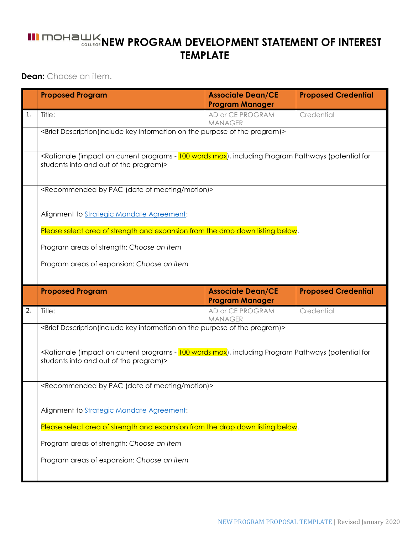## **III MOHAWK NEW PROGRAM DEVELOPMENT STATEMENT OF INTEREST TEMPLATE**

**Dean:** Choose an item.

|                                                                                | <b>Proposed Program</b>                                                                                                                                                                            | <b>Associate Dean/CE</b><br><b>Program Manager</b> | <b>Proposed Credential</b> |  |  |  |  |  |  |  |
|--------------------------------------------------------------------------------|----------------------------------------------------------------------------------------------------------------------------------------------------------------------------------------------------|----------------------------------------------------|----------------------------|--|--|--|--|--|--|--|
| 1.                                                                             | Title:                                                                                                                                                                                             | AD or CE PROGRAM<br><b>MANAGER</b>                 | Credential                 |  |  |  |  |  |  |  |
|                                                                                | <brief (include="" description="" information="" key="" of="" on="" program)="" purpose="" the=""></brief>                                                                                         |                                                    |                            |  |  |  |  |  |  |  |
|                                                                                | <rationale (impact="" (potential="" -="" 100="" current="" for<br="" including="" max),="" on="" pathways="" program="" programs="" words="">students into and out of the program)&gt;</rationale> |                                                    |                            |  |  |  |  |  |  |  |
|                                                                                | <recommended (date="" by="" meeting="" motion)="" of="" pac=""></recommended>                                                                                                                      |                                                    |                            |  |  |  |  |  |  |  |
|                                                                                | Alignment to Strategic Mandate Agreement:                                                                                                                                                          |                                                    |                            |  |  |  |  |  |  |  |
| Please select area of strength and expansion from the drop down listing below. |                                                                                                                                                                                                    |                                                    |                            |  |  |  |  |  |  |  |
|                                                                                | Program areas of strength: Choose an item                                                                                                                                                          |                                                    |                            |  |  |  |  |  |  |  |
|                                                                                | Program areas of expansion: Choose an item                                                                                                                                                         |                                                    |                            |  |  |  |  |  |  |  |
|                                                                                |                                                                                                                                                                                                    |                                                    |                            |  |  |  |  |  |  |  |
|                                                                                |                                                                                                                                                                                                    |                                                    |                            |  |  |  |  |  |  |  |
|                                                                                | <b>Proposed Program</b>                                                                                                                                                                            | <b>Associate Dean/CE</b><br><b>Program Manager</b> | <b>Proposed Credential</b> |  |  |  |  |  |  |  |
| 2.                                                                             | Title:                                                                                                                                                                                             | AD or CE PROGRAM<br><b>MANAGER</b>                 | Credential                 |  |  |  |  |  |  |  |
|                                                                                | <brief (include="" description="" information="" key="" of="" on="" program)="" purpose="" the=""></brief>                                                                                         |                                                    |                            |  |  |  |  |  |  |  |
|                                                                                | <rationale (impact="" (potential="" -="" 100="" current="" for<br="" including="" max),="" on="" pathways="" program="" programs="" words="">students into and out of the program)&gt;</rationale> |                                                    |                            |  |  |  |  |  |  |  |
|                                                                                | <recommended (date="" by="" meeting="" motion)="" of="" pac=""></recommended>                                                                                                                      |                                                    |                            |  |  |  |  |  |  |  |
|                                                                                | Alignment to Strategic Mandate Agreement:                                                                                                                                                          |                                                    |                            |  |  |  |  |  |  |  |
|                                                                                | Please select area of strength and expansion from the drop down listing below.                                                                                                                     |                                                    |                            |  |  |  |  |  |  |  |
|                                                                                | Program areas of strength: Choose an item                                                                                                                                                          |                                                    |                            |  |  |  |  |  |  |  |
|                                                                                | Program areas of expansion: Choose an item                                                                                                                                                         |                                                    |                            |  |  |  |  |  |  |  |